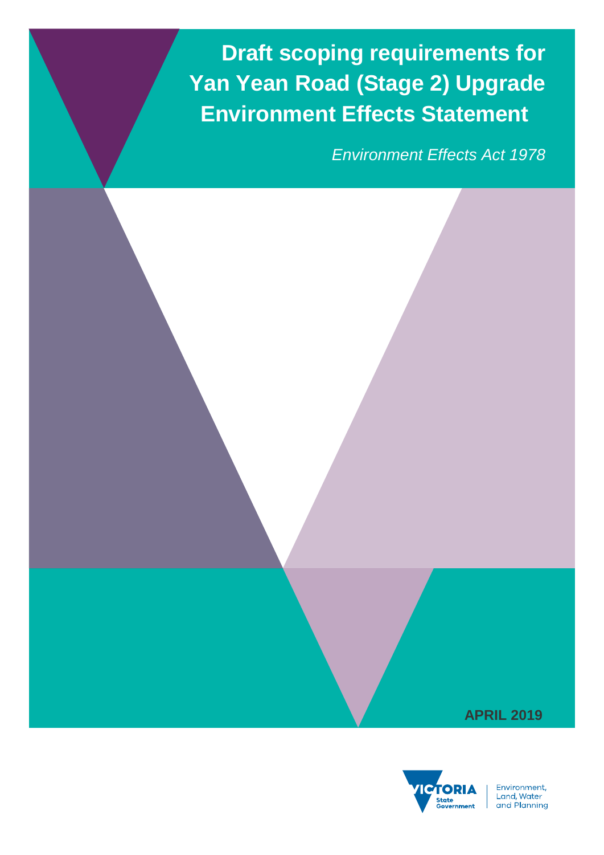**Draft scoping requirements for Yan Yean Road (Stage 2) Upgrade Environment Effects Statement**

*Environment Effects Act 1978*





Environment, Livitonnent,<br>Land, Water<br>and Planning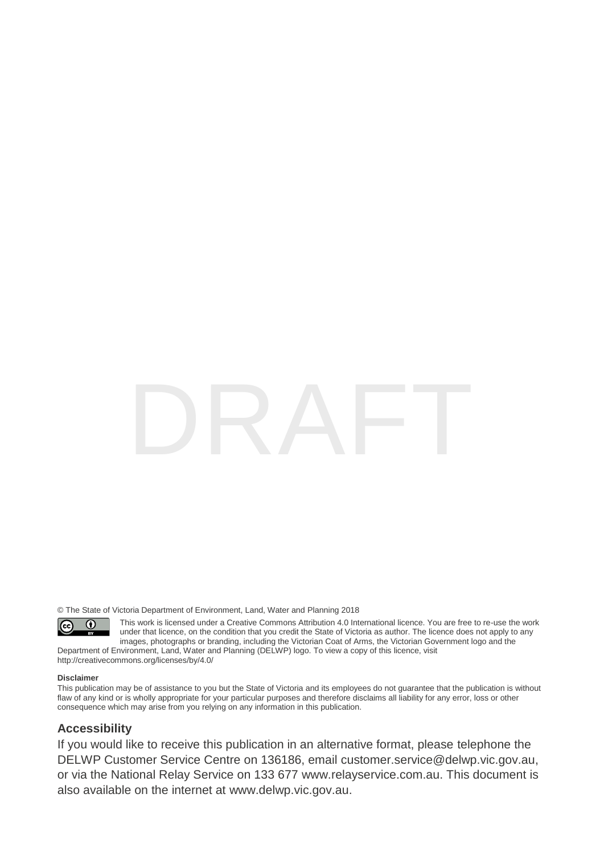© The State of Victoria Department of Environment, Land, Water and Planning 2018

 $\odot$  $\left($ 

This work is licensed under a Creative Commons Attribution 4.0 International licence. You are free to re-use the work under that licence, on the condition that you credit the State of Victoria as author. The licence does not apply to any images, photographs or branding, including the Victorian Coat of Arms, the Victorian Government logo and the

Department of Environment, Land, Water and Planning (DELWP) logo. To view a copy of this licence, visit <http://creativecommons.org/licenses/by/4.0/>

#### **Disclaimer**

This publication may be of assistance to you but the State of Victoria and its employees do not guarantee that the publication is without flaw of any kind or is wholly appropriate for your particular purposes and therefore disclaims all liability for any error, loss or other consequence which may arise from you relying on any information in this publication.

### **Accessibility**

If you would like to receive this publication in an alternative format, please telephone the DELWP Customer Service Centre on 136186, email [customer.service@delwp.vic.gov.au,](mailto:customer.service@delwp.vic.gov.au) or via the National Relay Service on 133 677 [www.relayservice.com.au.](http://www.relayservice.com.au/) This document is also available on the internet at [www.delwp.vic.gov.au.](http://www.delwp.vic.gov.au/)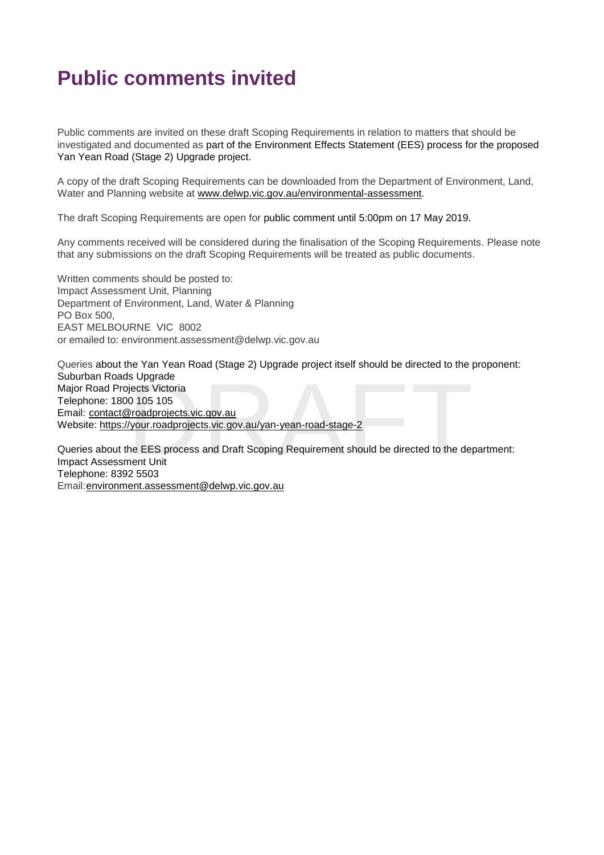# **Public comments invited**

Public comments are invited on these draft Scoping Requirements in relation to matters that should be investigated and documented as part of the Environment Effects Statement (EES) process for the proposed Yan Yean Road (Stage 2) Upgrade project.

A copy of the draft Scoping Requirements can be downloaded from the Department of Environment, Land, Water and Planning website at [www.delwp.vic.gov.au/environmental-assessment.](http://www.delwp.vic.gov.au/environmental-assessment)

The draft Scoping Requirements are open for public comment until 5:00pm on 17 May 2019.

Any comments received will be considered during the finalisation of the Scoping Requirements. Please note that any submissions on the draft Scoping Requirements will be treated as public documents.

Written comments should be posted to: Impact Assessment Unit, Planning Department of Environment, Land, Water & Planning PO Box 500, EAST MELBOURNE VIC 8002 or emailed to: environment.assessment@delwp.vic.gov.au

ls Upgrade<br>
jects Victoria<br>
0 105 105<br>
<u>Proadprojects.vic.gov.au</u><br>
<u>/your.roadprojects.vic.gov.au/yan-yean-road-stage-2</u><br>
he EES process and Draft Scoping Requirement should be directed to the de<sub>l</sub><br>
nent Unit<br>
2 5503 Queries about the Yan Yean Road (Stage 2) Upgrade project itself should be directed to the proponent: Suburban Roads Upgrade Major Road Projects Victoria Telephone: 1800 105 105 Email: [contact@roadprojects.vic.gov.au](mailto:contact@roadprojects.vic.gov.au) Website: https://your.roadprojects.vic.gov.au/yan-yean-road-stage-2

Queries about the EES process and Draft Scoping Requirement should be directed to the department: Impact Assessment Unit Telephone: 8392 5503 Email[:environment.assessment@delwp.vic.gov.au](mailto:environment.assessment@delwp.vic.gov.au)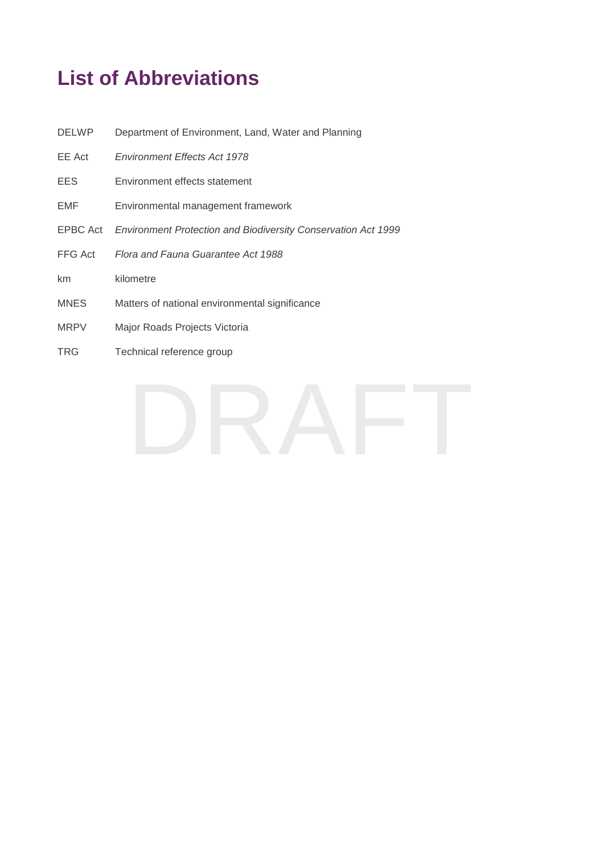# **List of Abbreviations**

| <b>DELWP</b> | Department of Environment, Land, Water and Planning                  |
|--------------|----------------------------------------------------------------------|
| EE Act       | <b>Environment Effects Act 1978</b>                                  |
| EES.         | Environment effects statement                                        |
| EMF          | Environmental management framework                                   |
| EPBC Act     | <b>Environment Protection and Biodiversity Conservation Act 1999</b> |
| FFG Act      | Flora and Fauna Guarantee Act 1988                                   |
| km           | kilometre                                                            |
| <b>MNES</b>  | Matters of national environmental significance                       |
| <b>MRPV</b>  | Major Roads Projects Victoria                                        |
| <b>TRG</b>   | Technical reference group                                            |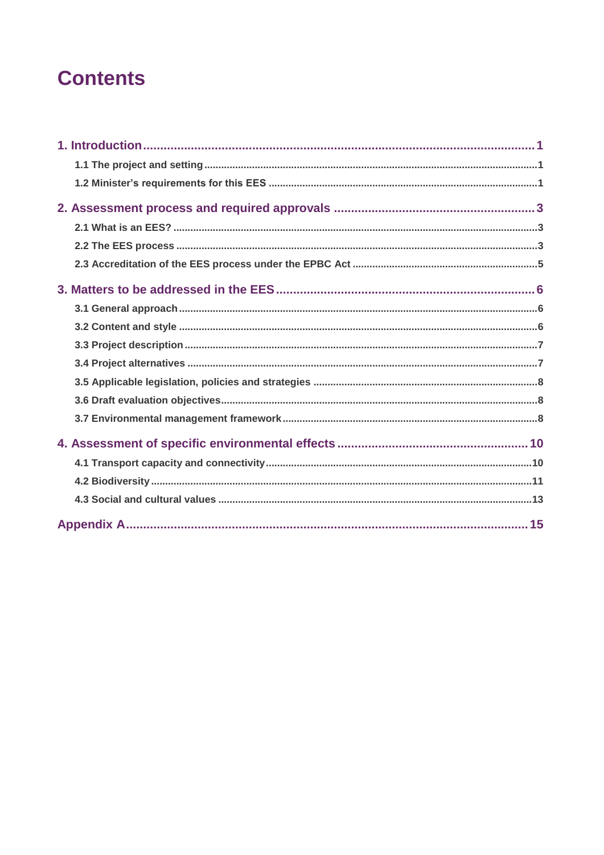# **Contents**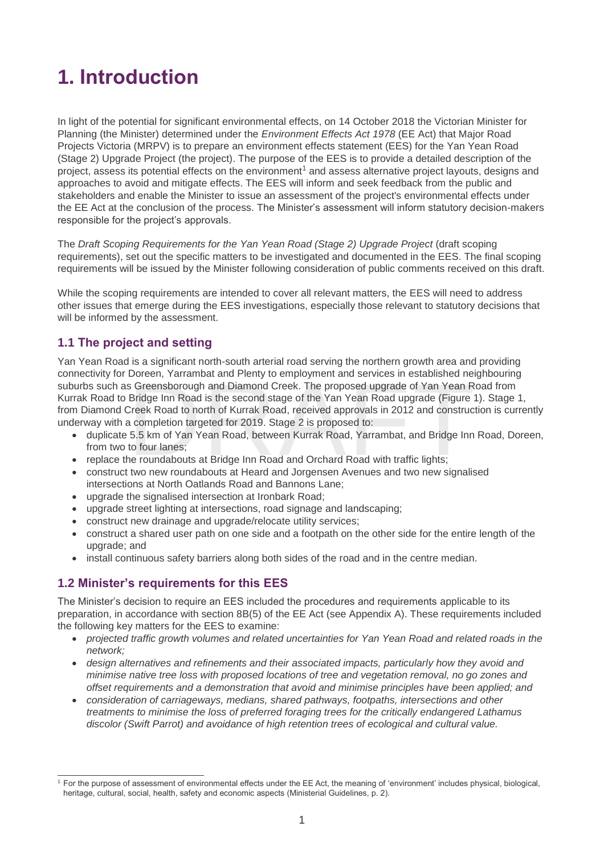# <span id="page-5-0"></span>**1. Introduction**

In light of the potential for significant environmental effects, on 14 October 2018 the Victorian Minister for Planning (the Minister) determined under the *Environment Effects Act 1978* (EE Act) that Major Road Projects Victoria (MRPV) is to prepare an environment effects statement (EES) for the Yan Yean Road (Stage 2) Upgrade Project (the project). The purpose of the EES is to provide a detailed description of the project, assess its potential effects on the environment<sup>1</sup> and assess alternative project layouts, designs and approaches to avoid and mitigate effects. The EES will inform and seek feedback from the public and stakeholders and enable the Minister to issue an assessment of the project's environmental effects under the EE Act at the conclusion of the process. The Minister's assessment will inform statutory decision-makers responsible for the project's approvals.

The *Draft Scoping Requirements for the Yan Yean Road (Stage 2) Upgrade Project* (draft scoping requirements), set out the specific matters to be investigated and documented in the EES. The final scoping requirements will be issued by the Minister following consideration of public comments received on this draft.

While the scoping requirements are intended to cover all relevant matters, the EES will need to address other issues that emerge during the EES investigations, especially those relevant to statutory decisions that will be informed by the assessment.

# <span id="page-5-1"></span>**1.1 The project and setting**

Doreen, Yarrambat and Pienty to employment and services in established he<br>is Greensborough and Diamond Creek. The proposed upgrade of Yan Yean R<br>Bridge Inn Road is the second stage of the Yan Yean Road upgrade (Figure<br>Cree Yan Yean Road is a significant north-south arterial road serving the northern growth area and providing connectivity for Doreen, Yarrambat and Plenty to employment and services in established neighbouring suburbs such as Greensborough and Diamond Creek. The proposed upgrade of Yan Yean Road from Kurrak Road to Bridge Inn Road is the second stage of the Yan Yean Road upgrade (Figure 1). Stage 1, from Diamond Creek Road to north of Kurrak Road, received approvals in 2012 and construction is currently underway with a completion targeted for 2019. Stage 2 is proposed to:

- duplicate 5.5 km of Yan Yean Road, between Kurrak Road, Yarrambat, and Bridge Inn Road, Doreen, from two to four lanes;
- replace the roundabouts at Bridge Inn Road and Orchard Road with traffic lights;
- construct two new roundabouts at Heard and Jorgensen Avenues and two new signalised intersections at North Oatlands Road and Bannons Lane;
- upgrade the signalised intersection at Ironbark Road;
- upgrade street lighting at intersections, road signage and landscaping;
- construct new drainage and upgrade/relocate utility services;
- construct a shared user path on one side and a footpath on the other side for the entire length of the upgrade; and
- install continuous safety barriers along both sides of the road and in the centre median.

## <span id="page-5-2"></span>**1.2 Minister's requirements for this EES**

 $\overline{a}$ 

The Minister's decision to require an EES included the procedures and requirements applicable to its preparation, in accordance with section 8B(5) of the EE Act (see Appendix A). These requirements included the following key matters for the EES to examine:

- *projected traffic growth volumes and related uncertainties for Yan Yean Road and related roads in the network;*
- *design alternatives and refinements and their associated impacts, particularly how they avoid and minimise native tree loss with proposed locations of tree and vegetation removal, no go zones and offset requirements and a demonstration that avoid and minimise principles have been applied; and*
- *consideration of carriageways, medians, shared pathways, footpaths, intersections and other treatments to minimise the loss of preferred foraging trees for the critically endangered Lathamus discolor (Swift Parrot) and avoidance of high retention trees of ecological and cultural value.*

<sup>1</sup> For the purpose of assessment of environmental effects under the EE Act, the meaning of 'environment' includes physical, biological, heritage, cultural, social, health, safety and economic aspects (Ministerial Guidelines, p. 2).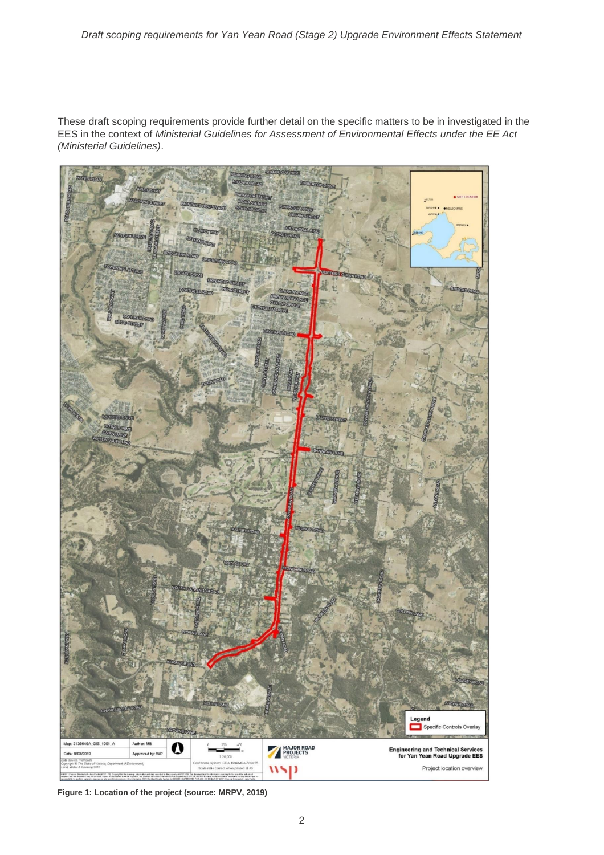These draft scoping requirements provide further detail on the specific matters to be in investigated in the EES in the context of *Ministerial Guidelines for Assessment of Environmental Effects under the EE Act (Ministerial Guidelines)*.



**Figure 1: Location of the project (source: MRPV, 2019)**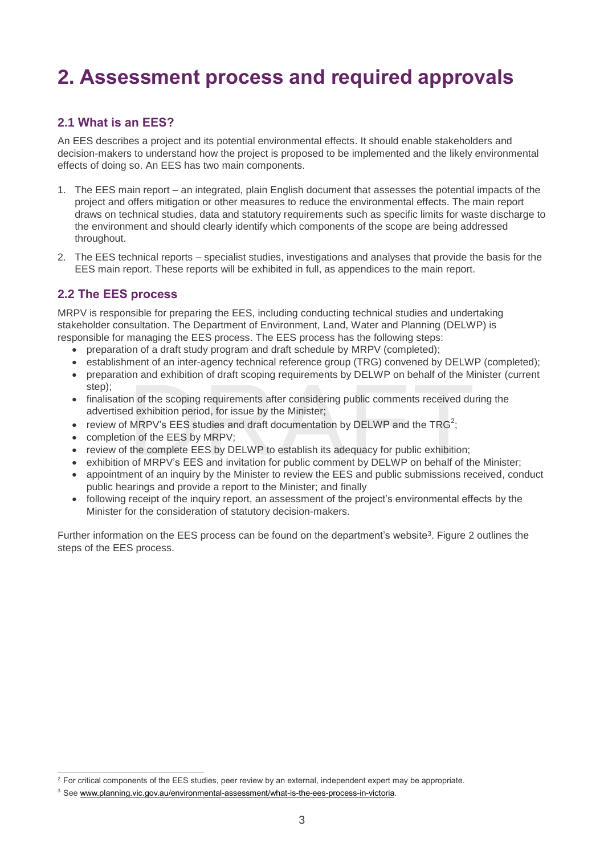# <span id="page-7-0"></span>**2. Assessment process and required approvals**

# <span id="page-7-1"></span>**2.1 What is an EES?**

An EES describes a project and its potential environmental effects. It should enable stakeholders and decision-makers to understand how the project is proposed to be implemented and the likely environmental effects of doing so. An EES has two main components.

- 1. The EES main report an integrated, plain English document that assesses the potential impacts of the project and offers mitigation or other measures to reduce the environmental effects. The main report draws on technical studies, data and statutory requirements such as specific limits for waste discharge to the environment and should clearly identify which components of the scope are being addressed throughout.
- 2. The EES technical reports specialist studies, investigations and analyses that provide the basis for the EES main report. These reports will be exhibited in full, as appendices to the main report.

## <span id="page-7-2"></span>**2.2 The EES process**

 $\overline{a}$ 

MRPV is responsible for preparing the EES, including conducting technical studies and undertaking stakeholder consultation. The Department of Environment, Land, Water and Planning (DELWP) is responsible for managing the EES process. The EES process has the following steps:

- preparation of a draft study program and draft schedule by MRPV (completed);
- establishment of an inter-agency technical reference group (TRG) convened by DELWP (completed);
- preparation and exhibition of draft scoping requirements by DELWP on behalf of the Minister (current step);
- on and exhibition of draft scoping requirements by DELWP on behalf of the M<br>in of the scoping requirements after considering public comments received du<br>d exhibition period, for issue by the Minister;<br>MRPV's EES studies an • finalisation of the scoping requirements after considering public comments received during the advertised exhibition period, for issue by the Minister;
- review of MRPV's EES studies and draft documentation by DELWP and the TRG<sup>2</sup>;
- completion of the EES by MRPV;
- review of the complete EES by DELWP to establish its adequacy for public exhibition;
- exhibition of MRPV's EES and invitation for public comment by DELWP on behalf of the Minister;
- appointment of an inquiry by the Minister to review the EES and public submissions received, conduct public hearings and provide a report to the Minister; and finally
- following receipt of the inquiry report, an assessment of the project's environmental effects by the Minister for the consideration of statutory decision-makers.

Further information on the EES process can be found on the department's website<sup>3</sup>. Figure 2 outlines the steps of the EES process.

 $^2$  For critical components of the EES studies, peer review by an external, independent expert may be appropriate.

<sup>3</sup> See [www.planning.vic.gov.au/environmental-assessment/what-is-the-ees-process-in-victoria.](http://www.planning.vic.gov.au/environmental-assessment/what-is-the-ees-process-in-victoria)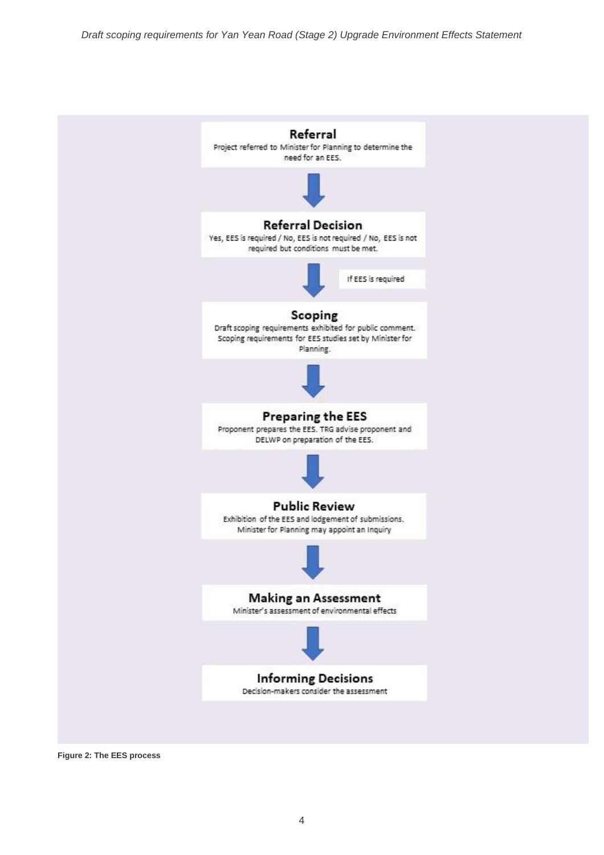

**Figure 2: The EES process**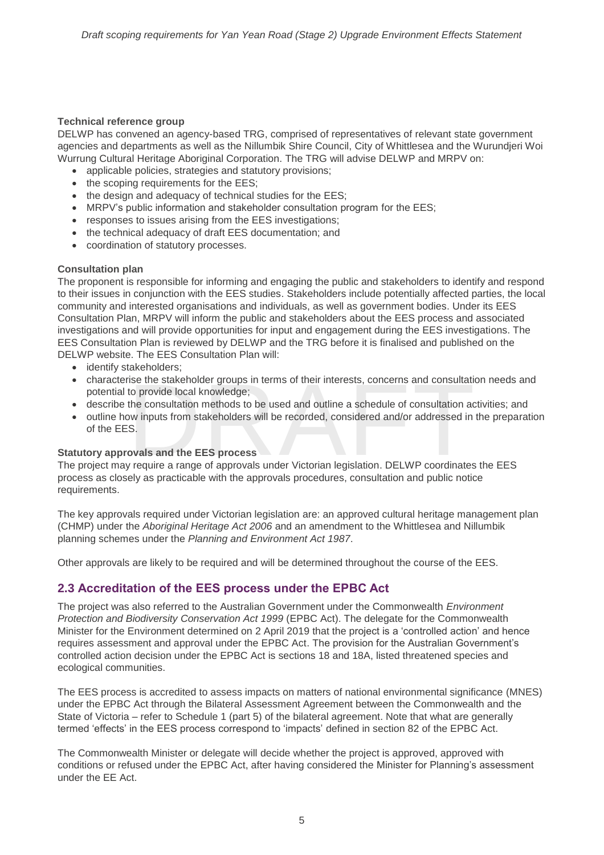#### **Technical reference group**

DELWP has convened an agency-based TRG, comprised of representatives of relevant state government agencies and departments as well as the Nillumbik Shire Council, City of Whittlesea and the Wurundjeri Woi Wurrung Cultural Heritage Aboriginal Corporation. The TRG will advise DELWP and MRPV on:

- applicable policies, strategies and statutory provisions;
- the scoping requirements for the EES:
- the design and adequacy of technical studies for the EES;
- MRPV's public information and stakeholder consultation program for the EES;
- responses to issues arising from the EES investigations;
- the technical adequacy of draft EES documentation; and
- coordination of statutory processes.

#### **Consultation plan**

The proponent is responsible for informing and engaging the public and stakeholders to identify and respond to their issues in conjunction with the EES studies. Stakeholders include potentially affected parties, the local community and interested organisations and individuals, as well as government bodies. Under its EES Consultation Plan, MRPV will inform the public and stakeholders about the EES process and associated investigations and will provide opportunities for input and engagement during the EES investigations. The EES Consultation Plan is reviewed by DELWP and the TRG before it is finalised and published on the DELWP website. The EES Consultation Plan will:

- identify stakeholders;
- characterise the stakeholder groups in terms of their interests, concerns and consultation needs and potential to provide local knowledge;<br>• describe the consultation methods to be used and outline a schedule of consulta potential to provide local knowledge;
- describe the consultation methods to be used and outline a schedule of consultation activities; and
- outline how inputs from stakeholders will be recorded, considered and/or addressed in the preparation of the EES.

#### **Statutory approvals and the EES process**

The project may require a range of approvals under Victorian legislation. DELWP coordinates the EES process as closely as practicable with the approvals procedures, consultation and public notice requirements.

The key approvals required under Victorian legislation are: an approved cultural heritage management plan (CHMP) under the *Aboriginal Heritage Act 2006* and an amendment to the Whittlesea and Nillumbik planning schemes under the *Planning and Environment Act 1987*.

Other approvals are likely to be required and will be determined throughout the course of the EES.

## <span id="page-9-0"></span>**2.3 Accreditation of the EES process under the EPBC Act**

The project was also referred to the Australian Government under the Commonwealth *Environment Protection and Biodiversity Conservation Act 1999* (EPBC Act). The delegate for the Commonwealth Minister for the Environment determined on 2 April 2019 that the project is a 'controlled action' and hence requires assessment and approval under the EPBC Act. The provision for the Australian Government's controlled action decision under the EPBC Act is sections 18 and 18A, listed threatened species and ecological communities.

The EES process is accredited to assess impacts on matters of national environmental significance (MNES) under the EPBC Act through the Bilateral Assessment Agreement between the Commonwealth and the State of Victoria – refer to Schedule 1 (part 5) of the bilateral agreement. Note that what are generally termed 'effects' in the EES process correspond to 'impacts' defined in section 82 of the EPBC Act.

The Commonwealth Minister or delegate will decide whether the project is approved, approved with conditions or refused under the EPBC Act, after having considered the Minister for Planning's assessment under the EE Act.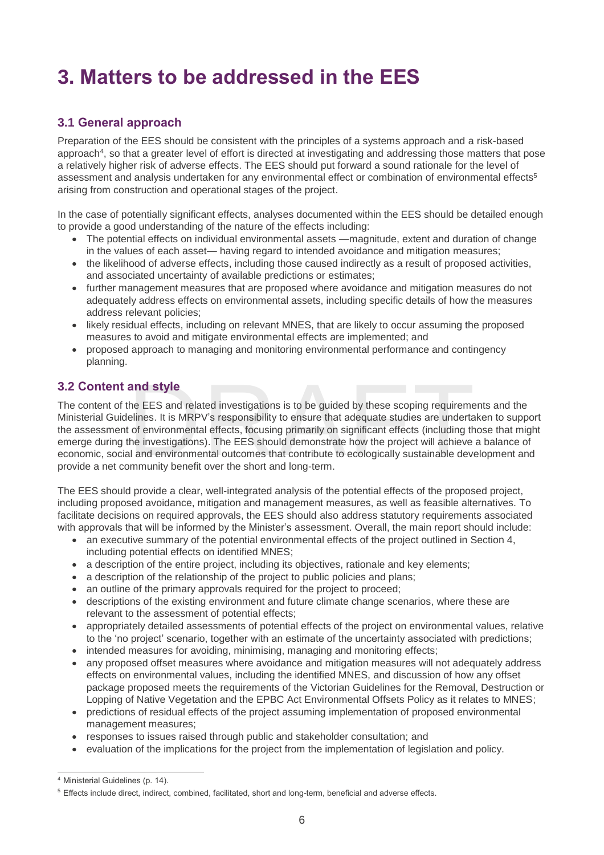# <span id="page-10-0"></span>**3. Matters to be addressed in the EES**

# <span id="page-10-1"></span>**3.1 General approach**

Preparation of the EES should be consistent with the principles of a systems approach and a risk-based approach<sup>4</sup> , so that a greater level of effort is directed at investigating and addressing those matters that pose a relatively higher risk of adverse effects. The EES should put forward a sound rationale for the level of assessment and analysis undertaken for any environmental effect or combination of environmental effects<sup>5</sup> arising from construction and operational stages of the project.

In the case of potentially significant effects, analyses documented within the EES should be detailed enough to provide a good understanding of the nature of the effects including:

- The potential effects on individual environmental assets —magnitude, extent and duration of change in the values of each asset— having regard to intended avoidance and mitigation measures;
- the likelihood of adverse effects, including those caused indirectly as a result of proposed activities, and associated uncertainty of available predictions or estimates;
- further management measures that are proposed where avoidance and mitigation measures do not adequately address effects on environmental assets, including specific details of how the measures address relevant policies;
- likely residual effects, including on relevant MNES, that are likely to occur assuming the proposed measures to avoid and mitigate environmental effects are implemented; and
- proposed approach to managing and monitoring environmental performance and contingency planning.

# <span id="page-10-2"></span>**3.2 Content and style**

and style<br>the EES and related investigations is to be guided by these scoping requireme<br>elines. It is MRPV's responsibility to ensure that adequate studies are undertated<br>to denvironmental effects, focusing primarily on si The content of the EES and related investigations is to be guided by these scoping requirements and the Ministerial Guidelines. It is MRPV's responsibility to ensure that adequate studies are undertaken to support the assessment of environmental effects, focusing primarily on significant effects (including those that might emerge during the investigations). The EES should demonstrate how the project will achieve a balance of economic, social and environmental outcomes that contribute to ecologically sustainable development and provide a net community benefit over the short and long-term.

The EES should provide a clear, well-integrated analysis of the potential effects of the proposed project, including proposed avoidance, mitigation and management measures, as well as feasible alternatives. To facilitate decisions on required approvals, the EES should also address statutory requirements associated with approvals that will be informed by the Minister's assessment. Overall, the main report should include:

- an executive summary of the potential environmental effects of the project outlined in Section 4, including potential effects on identified MNES;
- a description of the entire project, including its objectives, rationale and key elements;
- a description of the relationship of the project to public policies and plans;
- an outline of the primary approvals required for the project to proceed;
- descriptions of the existing environment and future climate change scenarios, where these are relevant to the assessment of potential effects;
- appropriately detailed assessments of potential effects of the project on environmental values, relative to the 'no project' scenario, together with an estimate of the uncertainty associated with predictions;
- intended measures for avoiding, minimising, managing and monitoring effects;
- any proposed offset measures where avoidance and mitigation measures will not adequately address effects on environmental values, including the identified MNES, and discussion of how any offset package proposed meets the requirements of the Victorian Guidelines for the Removal, Destruction or Lopping of Native Vegetation and the EPBC Act Environmental Offsets Policy as it relates to MNES;
- predictions of residual effects of the project assuming implementation of proposed environmental management measures;
- responses to issues raised through public and stakeholder consultation; and
- evaluation of the implications for the project from the implementation of legislation and policy.

 $\overline{a}$ 

<sup>&</sup>lt;sup>4</sup> Ministerial Guidelines (p. 14).

<sup>5</sup> Effects include direct, indirect, combined, facilitated, short and long-term, beneficial and adverse effects.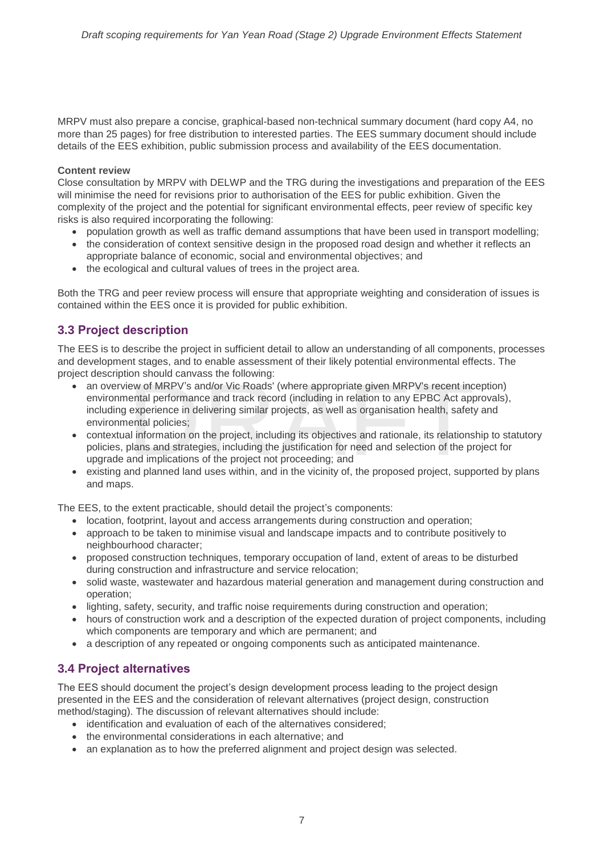MRPV must also prepare a concise, graphical-based non-technical summary document (hard copy A4, no more than 25 pages) for free distribution to interested parties. The EES summary document should include details of the EES exhibition, public submission process and availability of the EES documentation.

#### **Content review**

Close consultation by MRPV with DELWP and the TRG during the investigations and preparation of the EES will minimise the need for revisions prior to authorisation of the EES for public exhibition. Given the complexity of the project and the potential for significant environmental effects, peer review of specific key risks is also required incorporating the following:

- population growth as well as traffic demand assumptions that have been used in transport modelling;
- the consideration of context sensitive design in the proposed road design and whether it reflects an appropriate balance of economic, social and environmental objectives; and
- the ecological and cultural values of trees in the project area.

Both the TRG and peer review process will ensure that appropriate weighting and consideration of issues is contained within the EES once it is provided for public exhibition.

## <span id="page-11-0"></span>**3.3 Project description**

The EES is to describe the project in sufficient detail to allow an understanding of all components, processes and development stages, and to enable assessment of their likely potential environmental effects. The project description should canvass the following:

- on should canvass the following:<br>
ew of MRPV's and/or Vic Roads' (where appropriate given MRPV's recent inc<br>
ental performance and track record (including in relation to any EPBC Act app<br>
experience in delivering similar p • an overview of MRPV's and/or Vic Roads' (where appropriate given MRPV's recent inception) environmental performance and track record (including in relation to any EPBC Act approvals), including experience in delivering similar projects, as well as organisation health, safety and environmental policies;
- contextual information on the project, including its objectives and rationale, its relationship to statutory policies, plans and strategies, including the justification for need and selection of the project for upgrade and implications of the project not proceeding; and
- existing and planned land uses within, and in the vicinity of, the proposed project, supported by plans and maps.

The EES, to the extent practicable, should detail the project's components:

- location, footprint, layout and access arrangements during construction and operation;
- approach to be taken to minimise visual and landscape impacts and to contribute positively to neighbourhood character;
- proposed construction techniques, temporary occupation of land, extent of areas to be disturbed during construction and infrastructure and service relocation;
- solid waste, wastewater and hazardous material generation and management during construction and operation;
- lighting, safety, security, and traffic noise requirements during construction and operation;
- hours of construction work and a description of the expected duration of project components, including which components are temporary and which are permanent; and
- a description of any repeated or ongoing components such as anticipated maintenance.

## <span id="page-11-1"></span>**3.4 Project alternatives**

The EES should document the project's design development process leading to the project design presented in the EES and the consideration of relevant alternatives (project design, construction method/staging). The discussion of relevant alternatives should include:

- identification and evaluation of each of the alternatives considered;
- the environmental considerations in each alternative; and
- an explanation as to how the preferred alignment and project design was selected.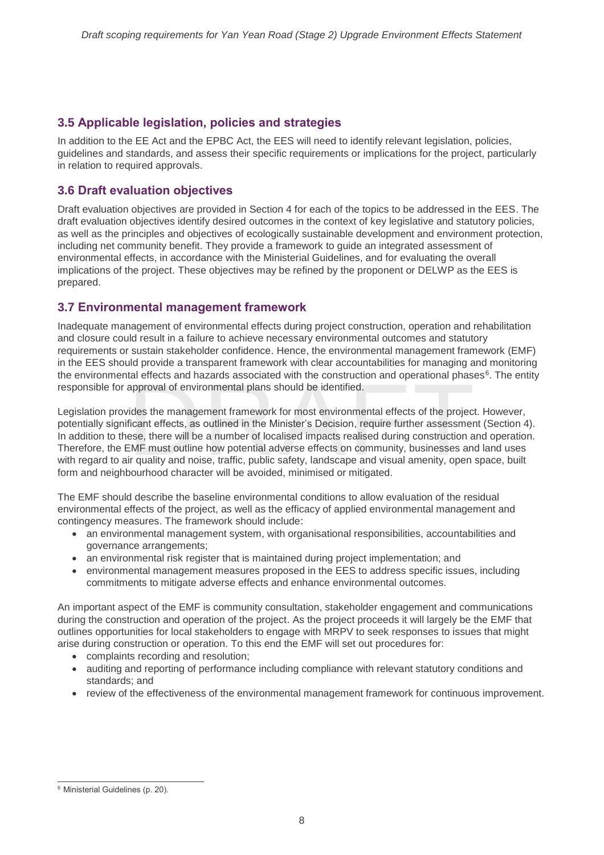# <span id="page-12-0"></span>**3.5 Applicable legislation, policies and strategies**

In addition to the EE Act and the EPBC Act, the EES will need to identify relevant legislation, policies, guidelines and standards, and assess their specific requirements or implications for the project, particularly in relation to required approvals.

# <span id="page-12-1"></span>**3.6 Draft evaluation objectives**

Draft evaluation objectives are provided in Section 4 for each of the topics to be addressed in the EES. The draft evaluation objectives identify desired outcomes in the context of key legislative and statutory policies, as well as the principles and objectives of ecologically sustainable development and environment protection, including net community benefit. They provide a framework to guide an integrated assessment of environmental effects, in accordance with the Ministerial Guidelines, and for evaluating the overall implications of the project. These objectives may be refined by the proponent or DELWP as the EES is prepared.

## <span id="page-12-2"></span>**3.7 Environmental management framework**

Inadequate management of environmental effects during project construction, operation and rehabilitation and closure could result in a failure to achieve necessary environmental outcomes and statutory requirements or sustain stakeholder confidence. Hence, the environmental management framework (EMF) in the EES should provide a transparent framework with clear accountabilities for managing and monitoring the environmental effects and hazards associated with the construction and operational phases<sup>6</sup>. The entity responsible for approval of environmental plans should be identified.

tal effects and hazards associated with the construction and operational phas<br>approval of environmental plans should be identified.<br>ides the management framework for most environmental effects of the projec<br>ficant effects, Legislation provides the management framework for most environmental effects of the project. However, potentially significant effects, as outlined in the Minister's Decision, require further assessment (Section 4). In addition to these, there will be a number of localised impacts realised during construction and operation. Therefore, the EMF must outline how potential adverse effects on community, businesses and land uses with regard to air quality and noise, traffic, public safety, landscape and visual amenity, open space, built form and neighbourhood character will be avoided, minimised or mitigated.

The EMF should describe the baseline environmental conditions to allow evaluation of the residual environmental effects of the project, as well as the efficacy of applied environmental management and contingency measures. The framework should include:

- an environmental management system, with organisational responsibilities, accountabilities and governance arrangements;
- an environmental risk register that is maintained during project implementation; and
- environmental management measures proposed in the EES to address specific issues, including commitments to mitigate adverse effects and enhance environmental outcomes.

An important aspect of the EMF is community consultation, stakeholder engagement and communications during the construction and operation of the project. As the project proceeds it will largely be the EMF that outlines opportunities for local stakeholders to engage with MRPV to seek responses to issues that might arise during construction or operation. To this end the EMF will set out procedures for:

- complaints recording and resolution;
- auditing and reporting of performance including compliance with relevant statutory conditions and standards; and
- review of the effectiveness of the environmental management framework for continuous improvement.

 $\overline{a}$ <sup>6</sup> Ministerial Guidelines (p. 20).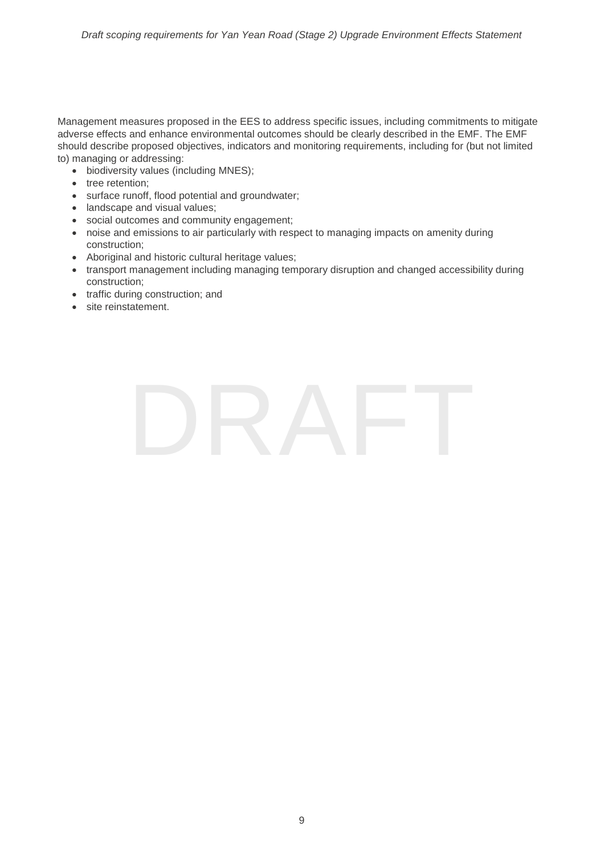Management measures proposed in the EES to address specific issues, including commitments to mitigate adverse effects and enhance environmental outcomes should be clearly described in the EMF. The EMF should describe proposed objectives, indicators and monitoring requirements, including for (but not limited to) managing or addressing:

- biodiversity values (including MNES);
- tree retention;
- surface runoff, flood potential and groundwater;
- landscape and visual values;
- social outcomes and community engagement;
- noise and emissions to air particularly with respect to managing impacts on amenity during construction;
- Aboriginal and historic cultural heritage values;
- transport management including managing temporary disruption and changed accessibility during construction;
- traffic during construction; and
- site reinstatement.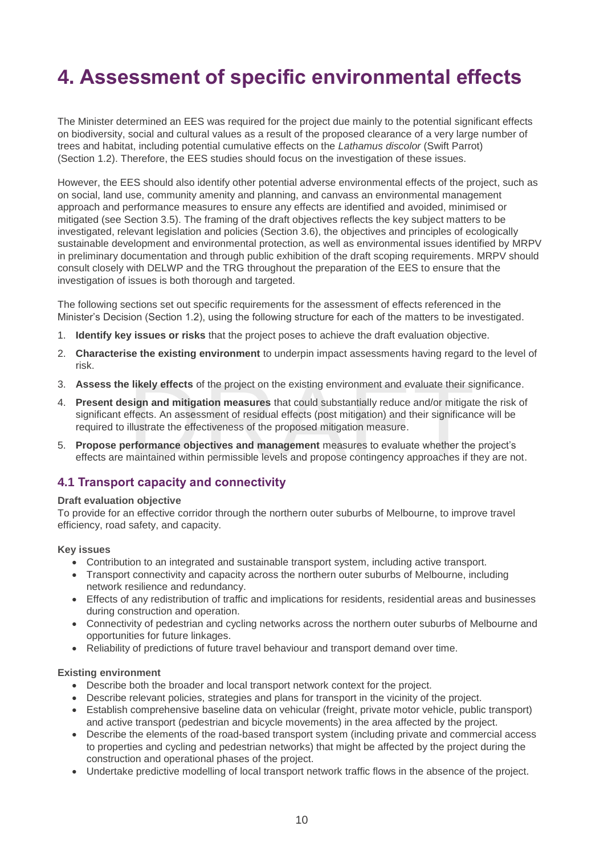# <span id="page-14-0"></span>**4. Assessment of specific environmental effects**

The Minister determined an EES was required for the project due mainly to the potential significant effects on biodiversity, social and cultural values as a result of the proposed clearance of a very large number of trees and habitat, including potential cumulative effects on the *Lathamus discolor* (Swift Parrot) (Section 1.2). Therefore, the EES studies should focus on the investigation of these issues.

However, the EES should also identify other potential adverse environmental effects of the project, such as on social, land use, community amenity and planning, and canvass an environmental management approach and performance measures to ensure any effects are identified and avoided, minimised or mitigated (see Section 3.5). The framing of the draft objectives reflects the key subject matters to be investigated, relevant legislation and policies (Section 3.6), the objectives and principles of ecologically sustainable development and environmental protection, as well as environmental issues identified by MRPV in preliminary documentation and through public exhibition of the draft scoping requirements. MRPV should consult closely with DELWP and the TRG throughout the preparation of the EES to ensure that the investigation of issues is both thorough and targeted.

The following sections set out specific requirements for the assessment of effects referenced in the Minister's Decision (Section 1.2), using the following structure for each of the matters to be investigated.

- 1. **Identify key issues or risks** that the project poses to achieve the draft evaluation objective.
- 2. **Characterise the existing environment** to underpin impact assessments having regard to the level of risk.
- 3. **Assess the likely effects** of the project on the existing environment and evaluate their significance.
- **Is ideally effects** of the project on the existing environment and evaluate their si<br>
sign and mitigation measures that could substantially reduce and/or mitigat<br>
ffects. An assessment of residual effects (post mitigation 4. **Present design and mitigation measures** that could substantially reduce and/or mitigate the risk of significant effects. An assessment of residual effects (post mitigation) and their significance will be required to illustrate the effectiveness of the proposed mitigation measure.
- 5. **Propose performance objectives and management** measures to evaluate whether the project's effects are maintained within permissible levels and propose contingency approaches if they are not.

### <span id="page-14-1"></span>**4.1 Transport capacity and connectivity**

#### **Draft evaluation objective**

To provide for an effective corridor through the northern outer suburbs of Melbourne, to improve travel efficiency, road safety, and capacity.

#### **Key issues**

- Contribution to an integrated and sustainable transport system, including active transport.
- Transport connectivity and capacity across the northern outer suburbs of Melbourne, including network resilience and redundancy.
- Effects of any redistribution of traffic and implications for residents, residential areas and businesses during construction and operation.
- Connectivity of pedestrian and cycling networks across the northern outer suburbs of Melbourne and opportunities for future linkages.
- Reliability of predictions of future travel behaviour and transport demand over time.

#### **Existing environment**

- Describe both the broader and local transport network context for the project.
- Describe relevant policies, strategies and plans for transport in the vicinity of the project.
- Establish comprehensive baseline data on vehicular (freight, private motor vehicle, public transport) and active transport (pedestrian and bicycle movements) in the area affected by the project.
- Describe the elements of the road-based transport system (including private and commercial access to properties and cycling and pedestrian networks) that might be affected by the project during the construction and operational phases of the project.
- Undertake predictive modelling of local transport network traffic flows in the absence of the project.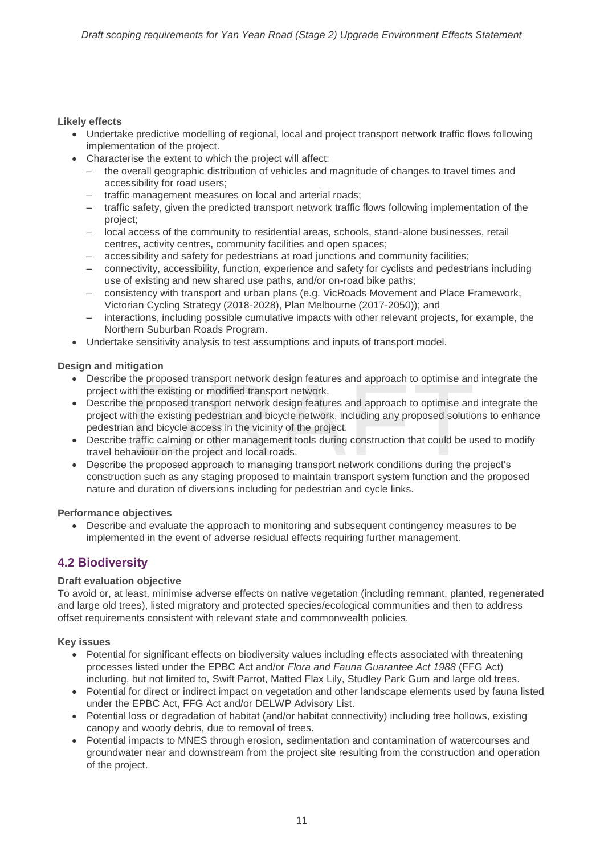### **Likely effects**

- Undertake predictive modelling of regional, local and project transport network traffic flows following implementation of the project.
- Characterise the extent to which the project will affect:
	- the overall geographic distribution of vehicles and magnitude of changes to travel times and accessibility for road users;
	- traffic management measures on local and arterial roads;
	- traffic safety, given the predicted transport network traffic flows following implementation of the project;
	- local access of the community to residential areas, schools, stand-alone businesses, retail centres, activity centres, community facilities and open spaces;
	- accessibility and safety for pedestrians at road junctions and community facilities;
	- connectivity, accessibility, function, experience and safety for cyclists and pedestrians including use of existing and new shared use paths, and/or on-road bike paths;
	- consistency with transport and urban plans (e.g. VicRoads Movement and Place Framework, Victorian Cycling Strategy (2018-2028), Plan Melbourne (2017-2050)); and
	- interactions, including possible cumulative impacts with other relevant projects, for example, the Northern Suburban Roads Program.
- Undertake sensitivity analysis to test assumptions and inputs of transport model.

### **Design and mitigation**

- Describe the proposed transport network design features and approach to optimise and integrate the project with the existing or modified transport network.
- the proposed transport network design features and approach to optimise and<br>ith the existing or modified transport network.<br>the proposed transport network design features and approach to optimise and<br>ith the existing pedes • Describe the proposed transport network design features and approach to optimise and integrate the project with the existing pedestrian and bicycle network, including any proposed solutions to enhance pedestrian and bicycle access in the vicinity of the project.
- Describe traffic calming or other management tools during construction that could be used to modify travel behaviour on the project and local roads.
- Describe the proposed approach to managing transport network conditions during the project's construction such as any staging proposed to maintain transport system function and the proposed nature and duration of diversions including for pedestrian and cycle links.

#### **Performance objectives**

• Describe and evaluate the approach to monitoring and subsequent contingency measures to be implemented in the event of adverse residual effects requiring further management.

## <span id="page-15-0"></span>**4.2 Biodiversity**

#### **Draft evaluation objective**

To avoid or, at least, minimise adverse effects on native vegetation (including remnant, planted, regenerated and large old trees), listed migratory and protected species/ecological communities and then to address offset requirements consistent with relevant state and commonwealth policies.

#### **Key issues**

- Potential for significant effects on biodiversity values including effects associated with threatening processes listed under the EPBC Act and/or *Flora and Fauna Guarantee Act 1988* (FFG Act) including, but not limited to, Swift Parrot, Matted Flax Lily, Studley Park Gum and large old trees.
- Potential for direct or indirect impact on vegetation and other landscape elements used by fauna listed under the EPBC Act, FFG Act and/or DELWP Advisory List.
- Potential loss or degradation of habitat (and/or habitat connectivity) including tree hollows, existing canopy and woody debris, due to removal of trees.
- Potential impacts to MNES through erosion, sedimentation and contamination of watercourses and groundwater near and downstream from the project site resulting from the construction and operation of the project.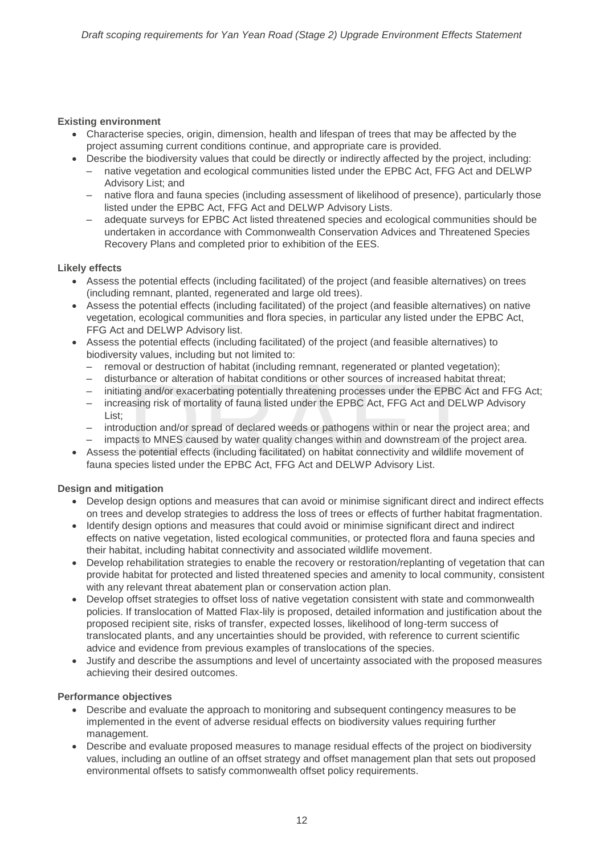#### **Existing environment**

- Characterise species, origin, dimension, health and lifespan of trees that may be affected by the project assuming current conditions continue, and appropriate care is provided.
- Describe the biodiversity values that could be directly or indirectly affected by the project, including:
	- native vegetation and ecological communities listed under the EPBC Act, FFG Act and DELWP Advisory List; and
	- native flora and fauna species (including assessment of likelihood of presence), particularly those listed under the EPBC Act, FFG Act and DELWP Advisory Lists.
	- adequate surveys for EPBC Act listed threatened species and ecological communities should be undertaken in accordance with Commonwealth Conservation Advices and Threatened Species Recovery Plans and completed prior to exhibition of the EES.

#### **Likely effects**

- Assess the potential effects (including facilitated) of the project (and feasible alternatives) on trees (including remnant, planted, regenerated and large old trees).
- Assess the potential effects (including facilitated) of the project (and feasible alternatives) on native vegetation, ecological communities and flora species, in particular any listed under the EPBC Act, FFG Act and DELWP Advisory list.
- Assess the potential effects (including facilitated) of the project (and feasible alternatives) to biodiversity values, including but not limited to:
	- removal or destruction of habitat (including remnant, regenerated or planted vegetation);
	- disturbance or alteration of habitat conditions or other sources of increased habitat threat;
	- initiating and/or exacerbating potentially threatening processes under the EPBC Act and FFG Act;
	- bance or alteration of habitat conditions or other sources of increased habitat<br>ing and/or exacerbating potentially threatening processes under the EPBC Ac<br>asing risk of mortality of fauna listed under the EPBC Act, FFG Ac – increasing risk of mortality of fauna listed under the EPBC Act, FFG Act and DELWP Advisory List;
	- introduction and/or spread of declared weeds or pathogens within or near the project area; and
	- impacts to MNES caused by water quality changes within and downstream of the project area.
- Assess the potential effects (including facilitated) on habitat connectivity and wildlife movement of fauna species listed under the EPBC Act, FFG Act and DELWP Advisory List.

#### **Design and mitigation**

- Develop design options and measures that can avoid or minimise significant direct and indirect effects on trees and develop strategies to address the loss of trees or effects of further habitat fragmentation.
- Identify design options and measures that could avoid or minimise significant direct and indirect effects on native vegetation, listed ecological communities, or protected flora and fauna species and their habitat, including habitat connectivity and associated wildlife movement.
- Develop rehabilitation strategies to enable the recovery or restoration/replanting of vegetation that can provide habitat for protected and listed threatened species and amenity to local community, consistent with any relevant threat abatement plan or conservation action plan.
- Develop offset strategies to offset loss of native vegetation consistent with state and commonwealth policies. If translocation of Matted Flax-lily is proposed, detailed information and justification about the proposed recipient site, risks of transfer, expected losses, likelihood of long-term success of translocated plants, and any uncertainties should be provided, with reference to current scientific advice and evidence from previous examples of translocations of the species.
- Justify and describe the assumptions and level of uncertainty associated with the proposed measures achieving their desired outcomes.

#### **Performance objectives**

- Describe and evaluate the approach to monitoring and subsequent contingency measures to be implemented in the event of adverse residual effects on biodiversity values requiring further management.
- Describe and evaluate proposed measures to manage residual effects of the project on biodiversity values, including an outline of an offset strategy and offset management plan that sets out proposed environmental offsets to satisfy commonwealth offset policy requirements.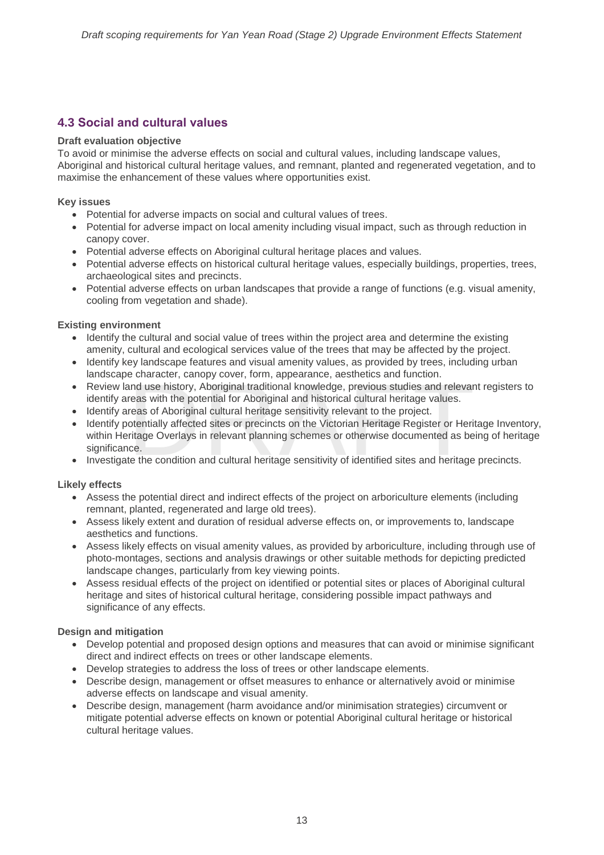# <span id="page-17-0"></span>**4.3 Social and cultural values**

#### **Draft evaluation objective**

To avoid or minimise the adverse effects on social and cultural values, including landscape values, Aboriginal and historical cultural heritage values, and remnant, planted and regenerated vegetation, and to maximise the enhancement of these values where opportunities exist.

#### **Key issues**

- Potential for adverse impacts on social and cultural values of trees.
- Potential for adverse impact on local amenity including visual impact, such as through reduction in canopy cover.
- Potential adverse effects on Aboriginal cultural heritage places and values.
- Potential adverse effects on historical cultural heritage values, especially buildings, properties, trees, archaeological sites and precincts.
- Potential adverse effects on urban landscapes that provide a range of functions (e.g. visual amenity, cooling from vegetation and shade).

#### **Existing environment**

- Identify the cultural and social value of trees within the project area and determine the existing amenity, cultural and ecological services value of the trees that may be affected by the project.
- Identify key landscape features and visual amenity values, as provided by trees, including urban landscape character, canopy cover, form, appearance, aesthetics and function.
- Review land use history, Aboriginal traditional knowledge, previous studies and relevant registers to identify areas with the potential for Aboriginal and historical cultural heritage values.
- Identify areas of Aboriginal cultural heritage sensitivity relevant to the project.
- e character, canopy cover, rorm, appearance, aesthetics and runction.<br>
and use history, Aboriginal traditional knowledge, previous studies and relevar<br>
reas with the potential for Aboriginal and historical cultural heritag • Identify potentially affected sites or precincts on the Victorian Heritage Register or Heritage Inventory, within Heritage Overlays in relevant planning schemes or otherwise documented as being of heritage significance.
- Investigate the condition and cultural heritage sensitivity of identified sites and heritage precincts.

#### **Likely effects**

- Assess the potential direct and indirect effects of the project on arboriculture elements (including remnant, planted, regenerated and large old trees).
- Assess likely extent and duration of residual adverse effects on, or improvements to, landscape aesthetics and functions.
- Assess likely effects on visual amenity values, as provided by arboriculture, including through use of photo-montages, sections and analysis drawings or other suitable methods for depicting predicted landscape changes, particularly from key viewing points.
- Assess residual effects of the project on identified or potential sites or places of Aboriginal cultural heritage and sites of historical cultural heritage, considering possible impact pathways and significance of any effects.

#### **Design and mitigation**

- Develop potential and proposed design options and measures that can avoid or minimise significant direct and indirect effects on trees or other landscape elements.
- Develop strategies to address the loss of trees or other landscape elements.
- Describe design, management or offset measures to enhance or alternatively avoid or minimise adverse effects on landscape and visual amenity.
- Describe design, management (harm avoidance and/or minimisation strategies) circumvent or mitigate potential adverse effects on known or potential Aboriginal cultural heritage or historical cultural heritage values.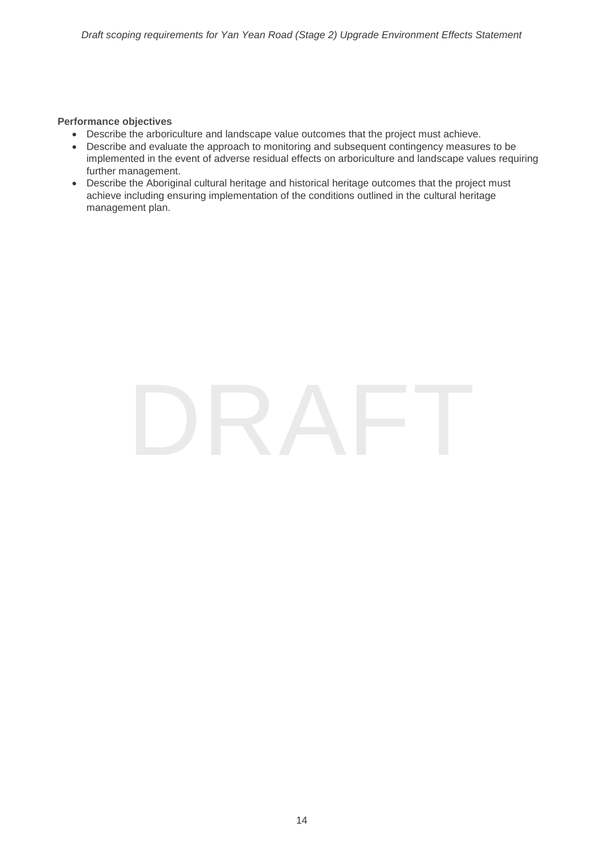#### **Performance objectives**

- Describe the arboriculture and landscape value outcomes that the project must achieve.
- Describe and evaluate the approach to monitoring and subsequent contingency measures to be implemented in the event of adverse residual effects on arboriculture and landscape values requiring further management.
- Describe the Aboriginal cultural heritage and historical heritage outcomes that the project must achieve including ensuring implementation of the conditions outlined in the cultural heritage management plan.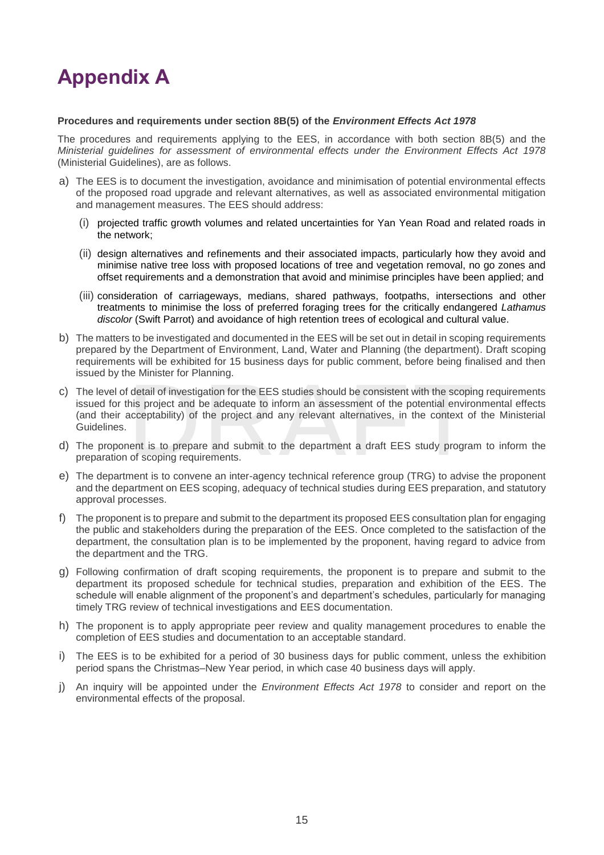# <span id="page-19-0"></span>**Appendix A**

#### **Procedures and requirements under section 8B(5) of the** *Environment Effects Act 1978*

The procedures and requirements applying to the EES, in accordance with both section 8B(5) and the *Ministerial guidelines for assessment of environmental effects under the Environment Effects Act 1978* (Ministerial Guidelines), are as follows.

- a) The EES is to document the investigation, avoidance and minimisation of potential environmental effects of the proposed road upgrade and relevant alternatives, as well as associated environmental mitigation and management measures. The EES should address:
	- (i) projected traffic growth volumes and related uncertainties for Yan Yean Road and related roads in the network;
	- (ii) design alternatives and refinements and their associated impacts, particularly how they avoid and minimise native tree loss with proposed locations of tree and vegetation removal, no go zones and offset requirements and a demonstration that avoid and minimise principles have been applied; and
	- (iii) consideration of carriageways, medians, shared pathways, footpaths, intersections and other treatments to minimise the loss of preferred foraging trees for the critically endangered *Lathamus discolor* (Swift Parrot) and avoidance of high retention trees of ecological and cultural value.
- b) The matters to be investigated and documented in the EES will be set out in detail in scoping requirements prepared by the Department of Environment, Land, Water and Planning (the department). Draft scoping requirements will be exhibited for 15 business days for public comment, before being finalised and then issued by the Minister for Planning.
- detail of investigation for the EES studies should be consistent with the scopin<br>his project and be adequate to inform an assessment of the potential environ<br>acceptability) of the project and any relevant alternatives, in c) The level of detail of investigation for the EES studies should be consistent with the scoping requirements issued for this project and be adequate to inform an assessment of the potential environmental effects (and their acceptability) of the project and any relevant alternatives, in the context of the Ministerial Guidelines.
- d) The proponent is to prepare and submit to the department a draft EES study program to inform the preparation of scoping requirements.
- e) The department is to convene an inter-agency technical reference group (TRG) to advise the proponent and the department on EES scoping, adequacy of technical studies during EES preparation, and statutory approval processes.
- f) The proponent is to prepare and submit to the department its proposed EES consultation plan for engaging the public and stakeholders during the preparation of the EES. Once completed to the satisfaction of the department, the consultation plan is to be implemented by the proponent, having regard to advice from the department and the TRG.
- g) Following confirmation of draft scoping requirements, the proponent is to prepare and submit to the department its proposed schedule for technical studies, preparation and exhibition of the EES. The schedule will enable alignment of the proponent's and department's schedules, particularly for managing timely TRG review of technical investigations and EES documentation.
- h) The proponent is to apply appropriate peer review and quality management procedures to enable the completion of EES studies and documentation to an acceptable standard.
- i) The EES is to be exhibited for a period of 30 business days for public comment, unless the exhibition period spans the Christmas–New Year period, in which case 40 business days will apply.
- j) An inquiry will be appointed under the *Environment Effects Act 1978* to consider and report on the environmental effects of the proposal.